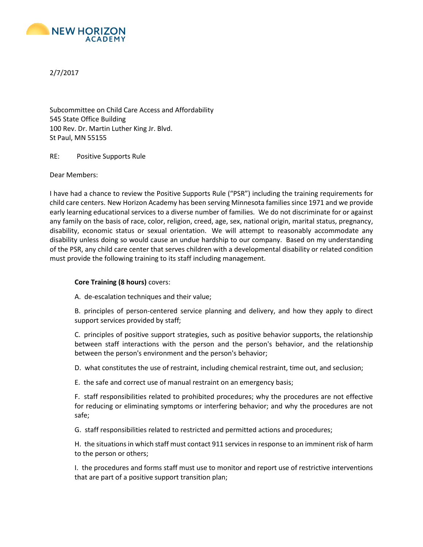

2/7/2017

Subcommittee on Child Care Access and Affordability 545 State Office Building 100 Rev. Dr. Martin Luther King Jr. Blvd. St Paul, MN 55155

RE: Positive Supports Rule

Dear Members:

I have had a chance to review the Positive Supports Rule ("PSR") including the training requirements for child care centers. New Horizon Academy has been serving Minnesota families since 1971 and we provide early learning educational services to a diverse number of families. We do not discriminate for or against any family on the basis of race, color, religion, creed, age, sex, national origin, marital status, pregnancy, disability, economic status or sexual orientation. We will attempt to reasonably accommodate any disability unless doing so would cause an undue hardship to our company. Based on my understanding of the PSR, any child care center that serves children with a developmental disability or related condition must provide the following training to its staff including management.

## **Core Training (8 hours)** covers:

A. de-escalation techniques and their value;

B. principles of person-centered service planning and delivery, and how they apply to direct support services provided by staff;

C. principles of positive support strategies, such as positive behavior supports, the relationship between staff interactions with the person and the person's behavior, and the relationship between the person's environment and the person's behavior;

D. what constitutes the use of restraint, including chemical restraint, time out, and seclusion;

E. the safe and correct use of manual restraint on an emergency basis;

F. staff responsibilities related to prohibited procedures; why the procedures are not effective for reducing or eliminating symptoms or interfering behavior; and why the procedures are not safe;

G. staff responsibilities related to restricted and permitted actions and procedures;

H. the situations in which staff must contact 911 services in response to an imminent risk of harm to the person or others;

I. the procedures and forms staff must use to monitor and report use of restrictive interventions that are part of a positive support transition plan;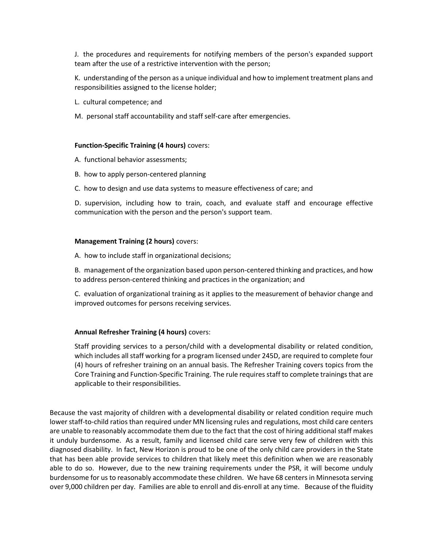J. the procedures and requirements for notifying members of the person's expanded support team after the use of a restrictive intervention with the person;

K. understanding of the person as a unique individual and how to implement treatment plans and responsibilities assigned to the license holder;

- L. cultural competence; and
- M. personal staff accountability and staff self-care after emergencies.

## **Function-Specific Training (4 hours)** covers:

- A. functional behavior assessments;
- B. how to apply person-centered planning
- C. how to design and use data systems to measure effectiveness of care; and

D. supervision, including how to train, coach, and evaluate staff and encourage effective communication with the person and the person's support team.

## **Management Training (2 hours)** covers:

A. how to include staff in organizational decisions;

B. management of the organization based upon person-centered thinking and practices, and how to address person-centered thinking and practices in the organization; and

C. evaluation of organizational training as it applies to the measurement of behavior change and improved outcomes for persons receiving services.

## **Annual Refresher Training (4 hours)** covers:

Staff providing services to a person/child with a developmental disability or related condition, which includes all staff working for a program licensed under 245D, are required to complete four (4) hours of refresher training on an annual basis. The Refresher Training covers topics from the Core Training and Function-Specific Training. The rule requires staff to complete trainings that are applicable to their responsibilities.

Because the vast majority of children with a developmental disability or related condition require much lower staff-to-child ratios than required under MN licensing rules and regulations, most child care centers are unable to reasonably accommodate them due to the fact that the cost of hiring additional staff makes it unduly burdensome. As a result, family and licensed child care serve very few of children with this diagnosed disability. In fact, New Horizon is proud to be one of the only child care providers in the State that has been able provide services to children that likely meet this definition when we are reasonably able to do so. However, due to the new training requirements under the PSR, it will become unduly burdensome for us to reasonably accommodate these children. We have 68 centers in Minnesota serving over 9,000 children per day. Families are able to enroll and dis-enroll at any time. Because of the fluidity